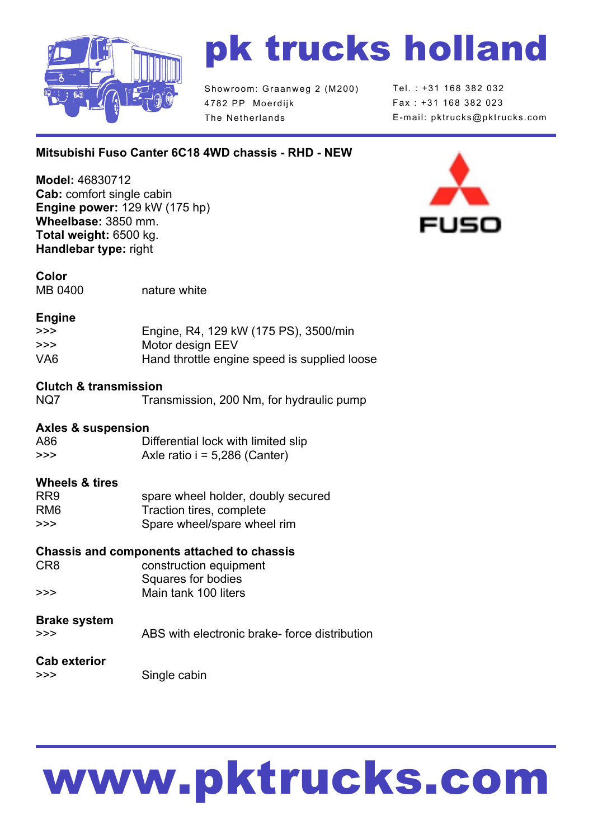

## pk trucks holland

Showroom: Graanweg 2 (M200) 4782 PP Moerdijk The Netherlands

Tel. : +31 168 382 032 Fax : +31 168 382 023 E-mail: pktrucks@pktrucks.com

## **Mitsubishi Fuso Canter 6C18 4WD chassis - RHD - NEW**

**Model:** 46830712 **Cab:** comfort single cabin **Engine power:** 129 kW (175 hp) **Wheelbase:** 3850 mm. **Total weight:** 6500 kg. **Handlebar type:** right



**Color** MB 0400 nature white

#### **Engine**

| >>> | Engine, R4, 129 kW (175 PS), 3500/min        |
|-----|----------------------------------------------|
| >>> | Motor design EEV                             |
| VA6 | Hand throttle engine speed is supplied loose |

#### **Clutch & transmission**

| NQ7 | Transmission, 200 Nm, for hydraulic pump |  |  |
|-----|------------------------------------------|--|--|
|     |                                          |  |  |

#### **Axles & suspension**

| A86 | Differential lock with limited slip |  |
|-----|-------------------------------------|--|
| >>> | Axle ratio $i = 5,286$ (Canter)     |  |

#### **Wheels & tires**

| RR <sub>9</sub> | spare wheel holder, doubly secured |
|-----------------|------------------------------------|
| RM <sub>6</sub> | Traction tires, complete           |
| >>>             | Spare wheel/spare wheel rim        |

#### **Chassis and components attached to chassis**

CR8 construction equipment Squares for bodies >>> Main tank 100 liters

## **Brake system**

>>> ABS with electronic brake- force distribution

#### **Cab exterior**

>>> Single cabin